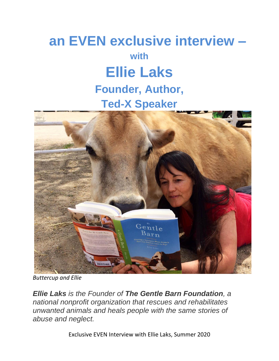# **an EVEN exclusive interview – with Ellie Laks Founder, Author, Ted-X Speaker**



*Buttercup and Ellie*

*Ellie Laks is the Founder of The Gentle Barn Foundation, a national nonprofit organization that rescues and rehabilitates unwanted animals and heals people with the same stories of abuse and neglect.* 

Exclusive EVEN Interview with Ellie Laks, Summer 2020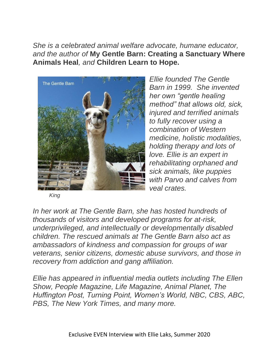*She is a celebrated animal welfare advocate, humane educator, and the author of* **My Gentle Barn: Creating a Sanctuary Where Animals Heal***, and* **Children Learn to Hope.**



*King*

*Ellie founded The Gentle Barn in 1999. She invented her own "gentle healing method" that allows old, sick, injured and terrified animals to fully recover using a combination of Western medicine, holistic modalities, holding therapy and lots of love. Ellie is an expert in rehabilitating orphaned and sick animals, like puppies with Parvo and calves from veal crates.* 

*In her work at The Gentle Barn, she has hosted hundreds of thousands of visitors and developed programs for at-risk, underprivileged, and intellectually or developmentally disabled children. The rescued animals at The Gentle Barn also act as ambassadors of kindness and compassion for groups of war veterans, senior citizens, domestic abuse survivors, and those in recovery from addiction and gang affiliation.*

*Ellie has appeared in influential media outlets including The Ellen Show, People Magazine, Life Magazine, Animal Planet, The Huffington Post, Turning Point, Women's World, NBC, CBS, ABC, PBS, The New York Times, and many more.*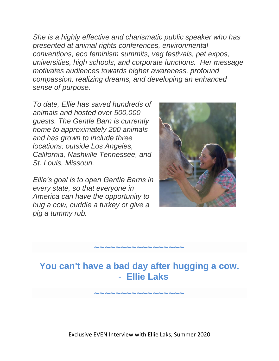*She is a highly effective and charismatic public speaker who has presented at animal rights conferences, environmental conventions, eco feminism summits, veg festivals, pet expos, universities, high schools, and corporate functions. Her message motivates audiences towards higher awareness, profound compassion, realizing dreams, and developing an enhanced sense of purpose.* 

*To date, Ellie has saved hundreds of animals and hosted over 500,000 guests. The Gentle Barn is currently home to approximately 200 animals and has grown to include three locations; outside Los Angeles, California, Nashville Tennessee, and St. Louis, Missouri.* 

*Ellie's goal is to open Gentle Barns in every state, so that everyone in America can have the opportunity to hug a cow, cuddle a turkey or give a pig a tummy rub.* 



# **~~~~~~~~~~~~~~~~~**

# **You can't have a bad day after hugging a cow.** - **Ellie Laks**

**~~~~~~~~~~~~~~~~~**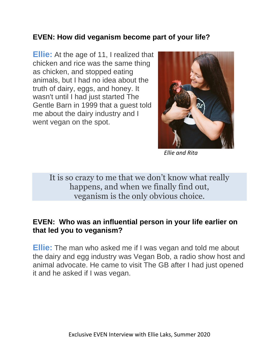# **EVEN: How did veganism become part of your life?**

**Ellie:** At the age of 11, I realized that chicken and rice was the same thing as chicken, and stopped eating animals, but I had no idea about the truth of dairy, eggs, and honey. It wasn't until I had just started The Gentle Barn in 1999 that a guest told me about the dairy industry and I went vegan on the spot.



*Ellie and Rita*

It is so crazy to me that we don't know what really happens, and when we finally find out, veganism is the only obvious choice.

#### **EVEN: Who was an influential person in your life earlier on that led you to veganism?**

**Ellie:** The man who asked me if I was vegan and told me about the dairy and egg industry was Vegan Bob, a radio show host and animal advocate. He came to visit The GB after I had just opened it and he asked if I was vegan.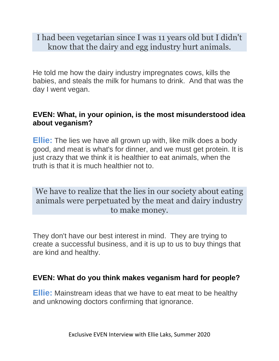# I had been vegetarian since I was 11 years old but I didn't know that the dairy and egg industry hurt animals.

He told me how the dairy industry impregnates cows, kills the babies, and steals the milk for humans to drink. And that was the day I went vegan.

# **EVEN: What, in your opinion, is the most misunderstood idea about veganism?**

**Ellie:** The lies we have all grown up with, like milk does a body good, and meat is what's for dinner, and we must get protein. It is just crazy that we think it is healthier to eat animals, when the truth is that it is much healthier not to.

We have to realize that the lies in our society about eating animals were perpetuated by the meat and dairy industry to make money.

They don't have our best interest in mind. They are trying to create a successful business, and it is up to us to buy things that are kind and healthy.

#### **EVEN: What do you think makes veganism hard for people?**

**Ellie:** Mainstream ideas that we have to eat meat to be healthy and unknowing doctors confirming that ignorance.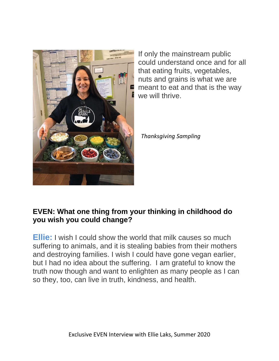

If only the mainstream public could understand once and for all that eating fruits, vegetables, nuts and grains is what we are meant to eat and that is the way we will thrive.

 *Thanksgiving Sampling*

# **EVEN: What one thing from your thinking in childhood do you wish you could change?**

**Ellie:** I wish I could show the world that milk causes so much suffering to animals, and it is stealing babies from their mothers and destroying families. I wish I could have gone vegan earlier, but I had no idea about the suffering. I am grateful to know the truth now though and want to enlighten as many people as I can so they, too, can live in truth, kindness, and health.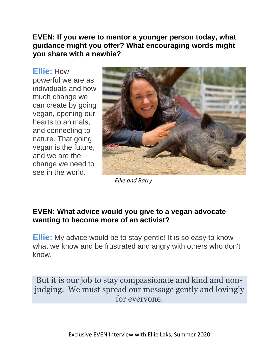#### **EVEN: If you were to mentor a younger person today, what guidance might you offer? What encouraging words might you share with a newbie?**

#### **Ellie:** How

powerful we are as individuals and how much change we can create by going vegan, opening our hearts to animals, and connecting to nature. That going vegan is the future, and we are the change we need to see in the world.



*Ellie and Barry*

# **EVEN: What advice would you give to a vegan advocate wanting to become more of an activist?**

**Ellie:** My advice would be to stay gentle! It is so easy to know what we know and be frustrated and angry with others who don't know.

But it is our job to stay compassionate and kind and nonjudging. We must spread our message gently and lovingly for everyone.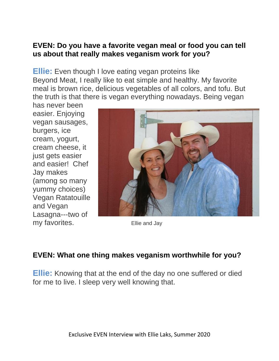#### **EVEN: Do you have a favorite vegan meal or food you can tell us about that really makes veganism work for you?**

**Ellie:** Even though I love eating vegan proteins like Beyond Meat, I really like to eat simple and healthy. My favorite meal is brown rice, delicious vegetables of all colors, and tofu. But the truth is that there is vegan everything nowadays. Being vegan

has never been easier. Enjoying vegan sausages, burgers, ice cream, yogurt, cream cheese, it just gets easier and easier! Chef Jay makes (among so many yummy choices) Vegan Ratatouille and Vegan Lasagna---two of my favorites. Ellie and Jay



# **EVEN: What one thing makes veganism worthwhile for you?**

**Ellie:** Knowing that at the end of the day no one suffered or died for me to live. I sleep very well knowing that.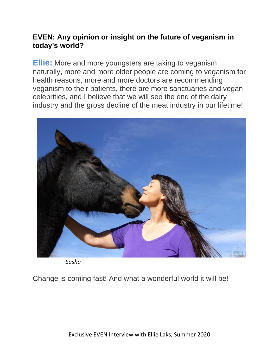# **EVEN: Any opinion or insight on the future of veganism in today's world?**

**Ellie:** More and more youngsters are taking to veganism naturally, more and more older people are coming to veganism for health reasons, more and more doctors are recommending veganism to their patients, there are more sanctuaries and vegan celebrities, and I believe that we will see the end of the dairy industry and the gross decline of the meat industry in our lifetime!



*Sasha*

Change is coming fast! And what a wonderful world it will be!